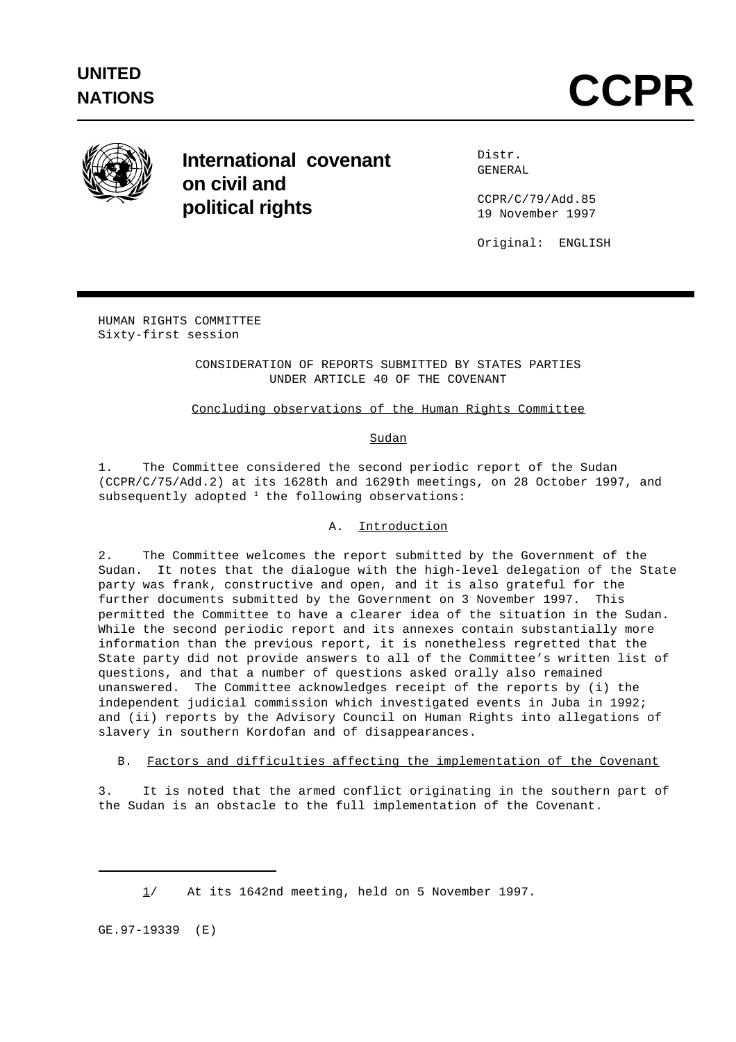

# **International covenant on civil and political rights**

Distr. GENERAL

CCPR/C/79/Add.85 19 November 1997

Original: ENGLISH

HUMAN RIGHTS COMMITTEE Sixty-first session

> CONSIDERATION OF REPORTS SUBMITTED BY STATES PARTIES UNDER ARTICLE 40 OF THE COVENANT

# Concluding observations of the Human Rights Committee

## Sudan

1. The Committee considered the second periodic report of the Sudan (CCPR/C/75/Add.2) at its 1628th and 1629th meetings, on 28 October 1997, and subsequently adopted  $1$  the following observations:

## A. Introduction

2. The Committee welcomes the report submitted by the Government of the Sudan. It notes that the dialogue with the high-level delegation of the State party was frank, constructive and open, and it is also grateful for the further documents submitted by the Government on 3 November 1997. This permitted the Committee to have a clearer idea of the situation in the Sudan. While the second periodic report and its annexes contain substantially more information than the previous report, it is nonetheless regretted that the State party did not provide answers to all of the Committee's written list of questions, and that a number of questions asked orally also remained unanswered. The Committee acknowledges receipt of the reports by (i) the independent judicial commission which investigated events in Juba in 1992; and (ii) reports by the Advisory Council on Human Rights into allegations of slavery in southern Kordofan and of disappearances.

B. Factors and difficulties affecting the implementation of the Covenant

3. It is noted that the armed conflict originating in the southern part of the Sudan is an obstacle to the full implementation of the Covenant.

GE.97-19339 (E)

<sup>1/</sup> At its 1642nd meeting, held on 5 November 1997.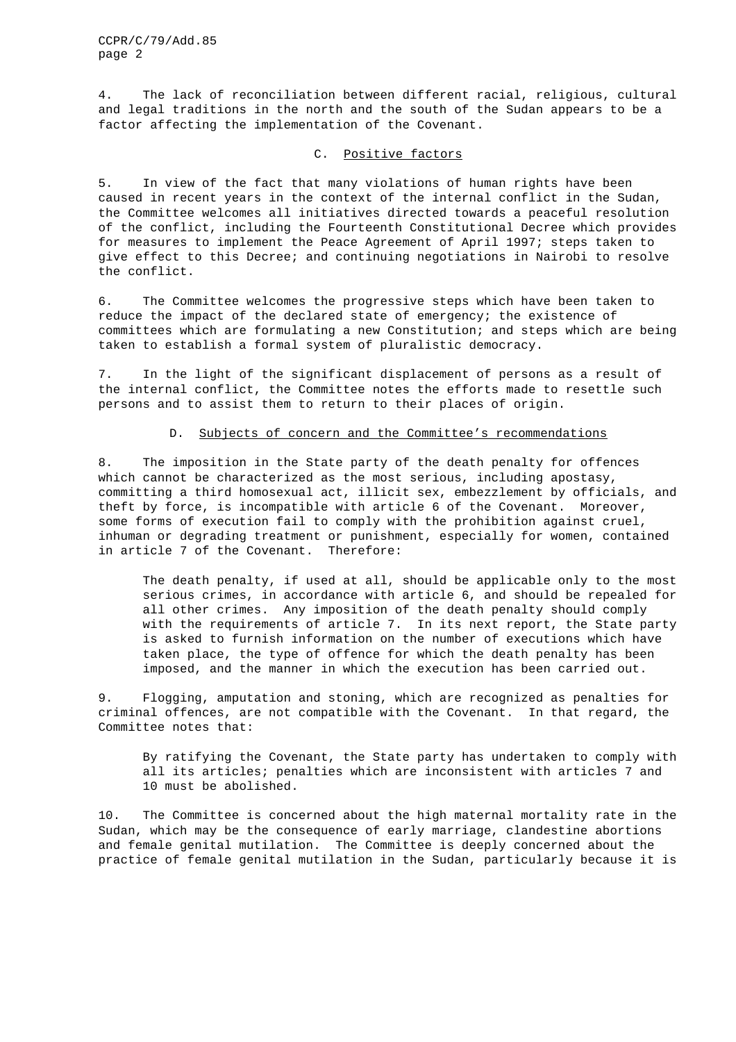CCPR/C/79/Add.85 page 2

4. The lack of reconciliation between different racial, religious, cultural and legal traditions in the north and the south of the Sudan appears to be a factor affecting the implementation of the Covenant.

#### C. Positive factors

5. In view of the fact that many violations of human rights have been caused in recent years in the context of the internal conflict in the Sudan, the Committee welcomes all initiatives directed towards a peaceful resolution of the conflict, including the Fourteenth Constitutional Decree which provides for measures to implement the Peace Agreement of April 1997; steps taken to give effect to this Decree; and continuing negotiations in Nairobi to resolve the conflict.

6. The Committee welcomes the progressive steps which have been taken to reduce the impact of the declared state of emergency; the existence of committees which are formulating a new Constitution; and steps which are being taken to establish a formal system of pluralistic democracy.

7. In the light of the significant displacement of persons as a result of the internal conflict, the Committee notes the efforts made to resettle such persons and to assist them to return to their places of origin.

### D. Subjects of concern and the Committee's recommendations

8. The imposition in the State party of the death penalty for offences which cannot be characterized as the most serious, including apostasy, committing a third homosexual act, illicit sex, embezzlement by officials, and theft by force, is incompatible with article 6 of the Covenant. Moreover, some forms of execution fail to comply with the prohibition against cruel, inhuman or degrading treatment or punishment, especially for women, contained in article 7 of the Covenant. Therefore:

The death penalty, if used at all, should be applicable only to the most serious crimes, in accordance with article 6, and should be repealed for all other crimes. Any imposition of the death penalty should comply with the requirements of article 7. In its next report, the State party is asked to furnish information on the number of executions which have taken place, the type of offence for which the death penalty has been imposed, and the manner in which the execution has been carried out.

9. Flogging, amputation and stoning, which are recognized as penalties for criminal offences, are not compatible with the Covenant. In that regard, the Committee notes that:

By ratifying the Covenant, the State party has undertaken to comply with all its articles; penalties which are inconsistent with articles 7 and 10 must be abolished.

10. The Committee is concerned about the high maternal mortality rate in the Sudan, which may be the consequence of early marriage, clandestine abortions and female genital mutilation. The Committee is deeply concerned about the practice of female genital mutilation in the Sudan, particularly because it is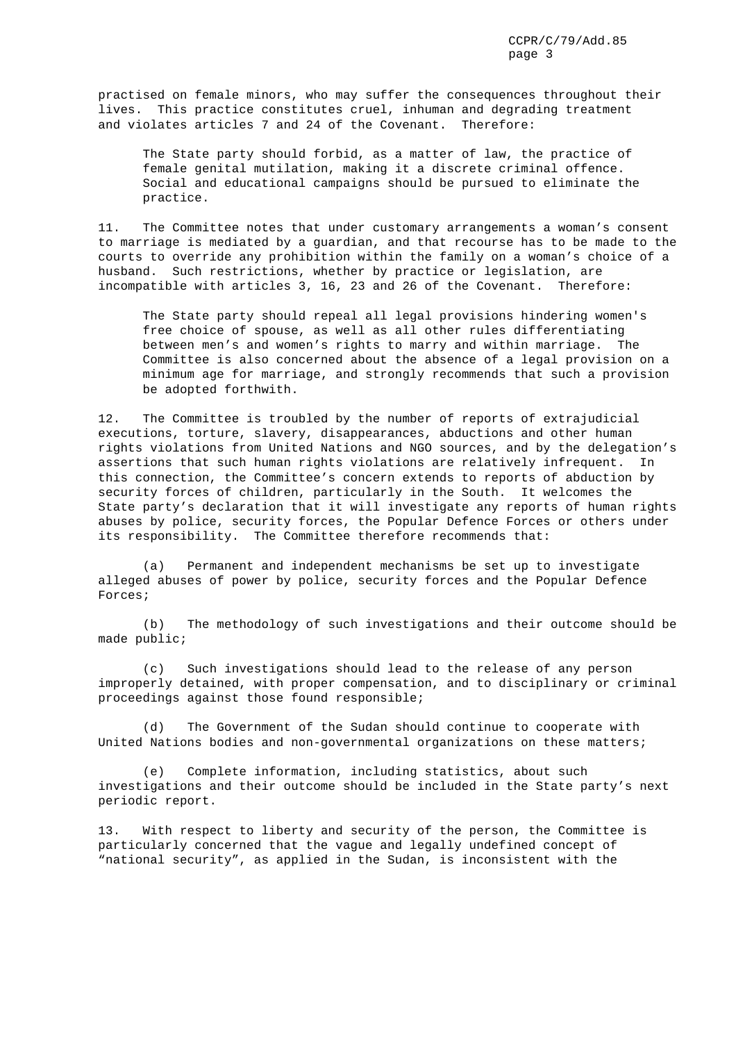practised on female minors, who may suffer the consequences throughout their lives. This practice constitutes cruel, inhuman and degrading treatment and violates articles 7 and 24 of the Covenant. Therefore:

The State party should forbid, as a matter of law, the practice of female genital mutilation, making it a discrete criminal offence. Social and educational campaigns should be pursued to eliminate the practice.

11. The Committee notes that under customary arrangements a woman's consent to marriage is mediated by a guardian, and that recourse has to be made to the courts to override any prohibition within the family on a woman's choice of a husband. Such restrictions, whether by practice or legislation, are incompatible with articles 3, 16, 23 and 26 of the Covenant. Therefore:

The State party should repeal all legal provisions hindering women's free choice of spouse, as well as all other rules differentiating between men's and women's rights to marry and within marriage. The Committee is also concerned about the absence of a legal provision on a minimum age for marriage, and strongly recommends that such a provision be adopted forthwith.

12. The Committee is troubled by the number of reports of extrajudicial executions, torture, slavery, disappearances, abductions and other human rights violations from United Nations and NGO sources, and by the delegation's assertions that such human rights violations are relatively infrequent. In this connection, the Committee's concern extends to reports of abduction by security forces of children, particularly in the South. It welcomes the State party's declaration that it will investigate any reports of human rights abuses by police, security forces, the Popular Defence Forces or others under its responsibility. The Committee therefore recommends that:

(a) Permanent and independent mechanisms be set up to investigate alleged abuses of power by police, security forces and the Popular Defence Forces;

(b) The methodology of such investigations and their outcome should be made public;

(c) Such investigations should lead to the release of any person improperly detained, with proper compensation, and to disciplinary or criminal proceedings against those found responsible;

(d) The Government of the Sudan should continue to cooperate with United Nations bodies and non-governmental organizations on these matters;

(e) Complete information, including statistics, about such investigations and their outcome should be included in the State party's next periodic report.

13. With respect to liberty and security of the person, the Committee is particularly concerned that the vague and legally undefined concept of "national security", as applied in the Sudan, is inconsistent with the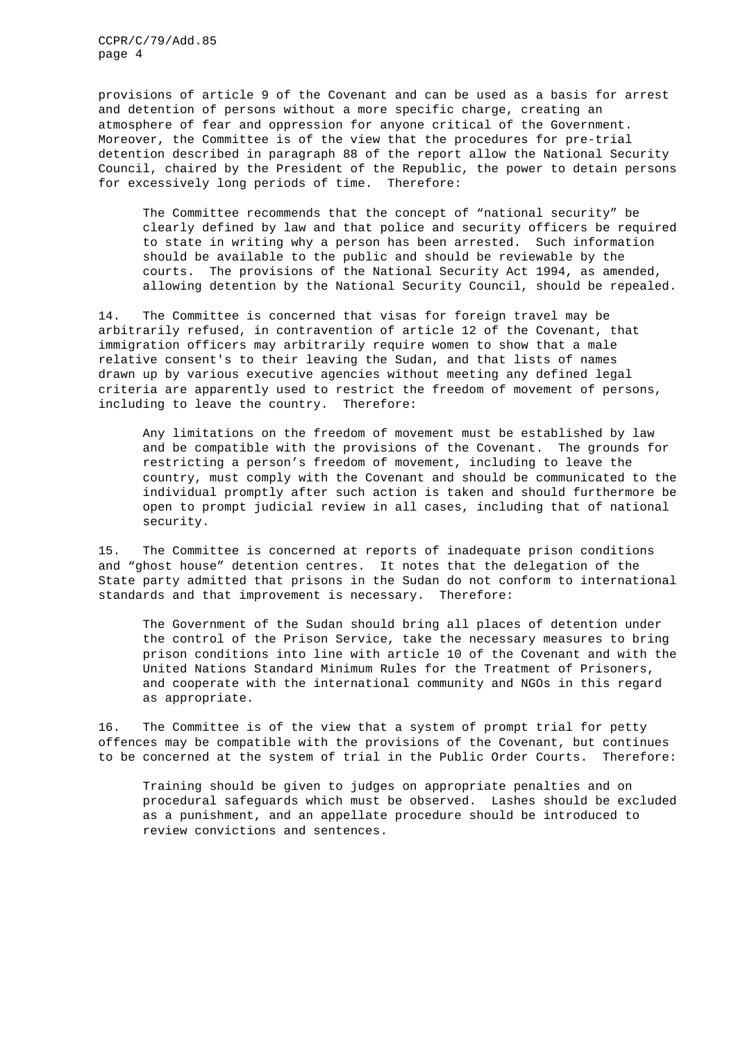CCPR/C/79/Add.85 page 4

provisions of article 9 of the Covenant and can be used as a basis for arrest and detention of persons without a more specific charge, creating an atmosphere of fear and oppression for anyone critical of the Government. Moreover, the Committee is of the view that the procedures for pre-trial detention described in paragraph 88 of the report allow the National Security Council, chaired by the President of the Republic, the power to detain persons for excessively long periods of time. Therefore:

The Committee recommends that the concept of "national security" be clearly defined by law and that police and security officers be required to state in writing why a person has been arrested. Such information should be available to the public and should be reviewable by the courts. The provisions of the National Security Act 1994, as amended, allowing detention by the National Security Council, should be repealed.

14. The Committee is concerned that visas for foreign travel may be arbitrarily refused, in contravention of article 12 of the Covenant, that immigration officers may arbitrarily require women to show that a male relative consent's to their leaving the Sudan, and that lists of names drawn up by various executive agencies without meeting any defined legal criteria are apparently used to restrict the freedom of movement of persons, including to leave the country. Therefore:

Any limitations on the freedom of movement must be established by law and be compatible with the provisions of the Covenant. The grounds for restricting a person's freedom of movement, including to leave the country, must comply with the Covenant and should be communicated to the individual promptly after such action is taken and should furthermore be open to prompt judicial review in all cases, including that of national security.

15. The Committee is concerned at reports of inadequate prison conditions and "ghost house" detention centres. It notes that the delegation of the State party admitted that prisons in the Sudan do not conform to international standards and that improvement is necessary. Therefore:

The Government of the Sudan should bring all places of detention under the control of the Prison Service, take the necessary measures to bring prison conditions into line with article 10 of the Covenant and with the United Nations Standard Minimum Rules for the Treatment of Prisoners, and cooperate with the international community and NGOs in this regard as appropriate.

16. The Committee is of the view that a system of prompt trial for petty offences may be compatible with the provisions of the Covenant, but continues to be concerned at the system of trial in the Public Order Courts. Therefore:

Training should be given to judges on appropriate penalties and on procedural safeguards which must be observed. Lashes should be excluded as a punishment, and an appellate procedure should be introduced to review convictions and sentences.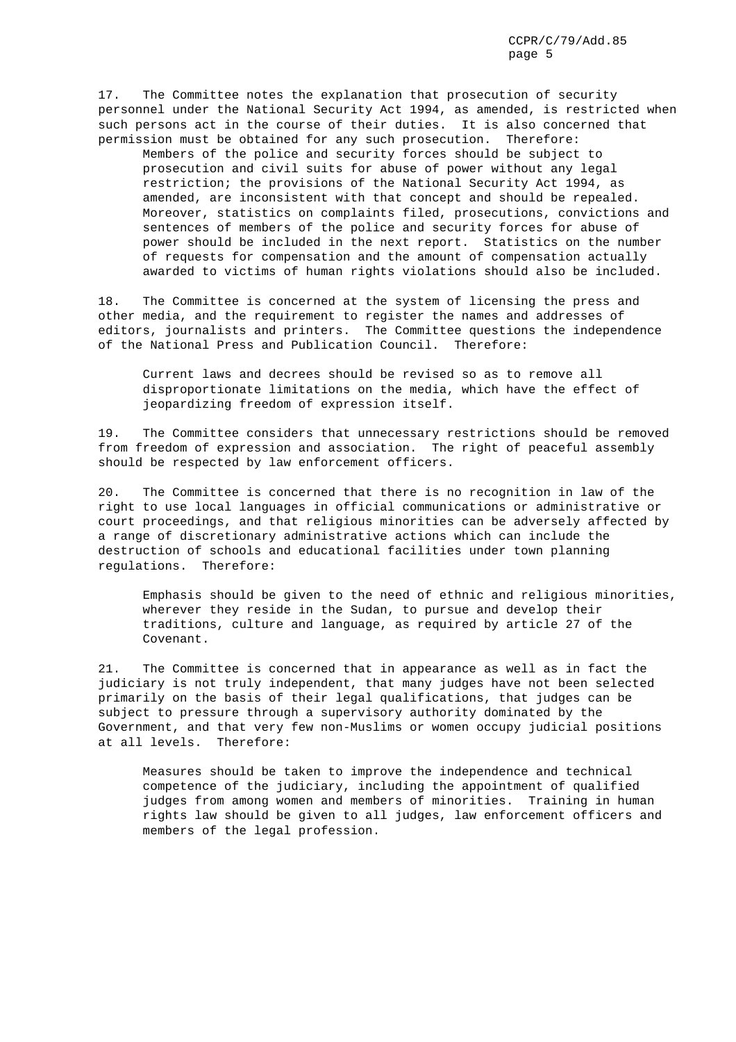17. The Committee notes the explanation that prosecution of security personnel under the National Security Act 1994, as amended, is restricted when such persons act in the course of their duties. It is also concerned that permission must be obtained for any such prosecution. Therefore:

Members of the police and security forces should be subject to prosecution and civil suits for abuse of power without any legal restriction; the provisions of the National Security Act 1994, as amended, are inconsistent with that concept and should be repealed. Moreover, statistics on complaints filed, prosecutions, convictions and sentences of members of the police and security forces for abuse of power should be included in the next report. Statistics on the number of requests for compensation and the amount of compensation actually awarded to victims of human rights violations should also be included.

18. The Committee is concerned at the system of licensing the press and other media, and the requirement to register the names and addresses of editors, journalists and printers. The Committee questions the independence of the National Press and Publication Council. Therefore:

Current laws and decrees should be revised so as to remove all disproportionate limitations on the media, which have the effect of jeopardizing freedom of expression itself.

19. The Committee considers that unnecessary restrictions should be removed from freedom of expression and association. The right of peaceful assembly should be respected by law enforcement officers.

20. The Committee is concerned that there is no recognition in law of the right to use local languages in official communications or administrative or court proceedings, and that religious minorities can be adversely affected by a range of discretionary administrative actions which can include the destruction of schools and educational facilities under town planning regulations. Therefore:

Emphasis should be given to the need of ethnic and religious minorities, wherever they reside in the Sudan, to pursue and develop their traditions, culture and language, as required by article 27 of the Covenant.

21. The Committee is concerned that in appearance as well as in fact the judiciary is not truly independent, that many judges have not been selected primarily on the basis of their legal qualifications, that judges can be subject to pressure through a supervisory authority dominated by the Government, and that very few non-Muslims or women occupy judicial positions at all levels. Therefore:

Measures should be taken to improve the independence and technical competence of the judiciary, including the appointment of qualified judges from among women and members of minorities. Training in human rights law should be given to all judges, law enforcement officers and members of the legal profession.